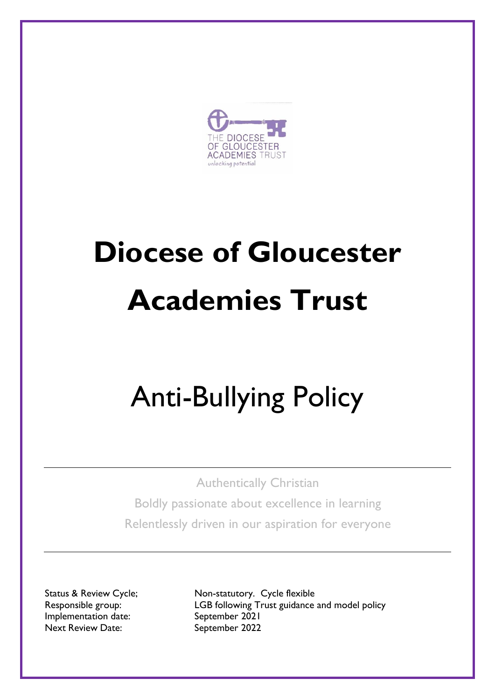

# **Diocese of Gloucester Academies Trust**

# Anti-Bullying Policy

Authentically Christian

Boldly passionate about excellence in learning Relentlessly driven in our aspiration for everyone

Implementation date: September 2021 Next Review Date: September 2022

Status & Review Cycle; Non-statutory. Cycle flexible Responsible group: LGB following Trust guidance and model policy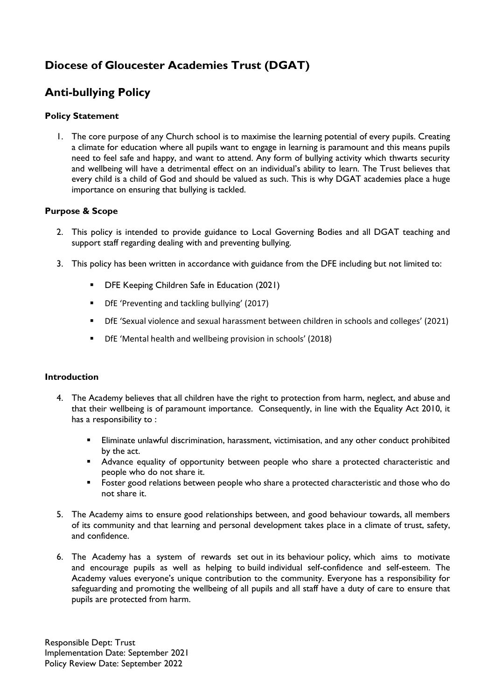## **Diocese of Gloucester Academies Trust (DGAT)**

## **Anti-bullying Policy**

#### **Policy Statement**

1. The core purpose of any Church school is to maximise the learning potential of every pupils. Creating a climate for education where all pupils want to engage in learning is paramount and this means pupils need to feel safe and happy, and want to attend. Any form of bullying activity which thwarts security and wellbeing will have a detrimental effect on an individual's ability to learn*.* The Trust believes that every child is a child of God and should be valued as such. This is why DGAT academies place a huge importance on ensuring that bullying is tackled.

#### **Purpose & Scope**

- 2. This policy is intended to provide guidance to Local Governing Bodies and all DGAT teaching and support staff regarding dealing with and preventing bullying.
- 3. This policy has been written in accordance with guidance from the DFE including but not limited to:
	- **DFE Keeping Children Safe in Education (2021)**
	- DfE 'Preventing and tackling bullying' (2017)
	- DfE 'Sexual violence and sexual harassment between children in schools and colleges' (2021)
	- DfE 'Mental health and wellbeing provision in schools' (2018)

#### **Introduction**

- 4. The Academy believes that all children have the right to protection from harm, neglect, and abuse and that their wellbeing is of paramount importance. Consequently, in line with the Equality Act 2010, it has a responsibility to :
	- Eliminate unlawful discrimination, harassment, victimisation, and any other conduct prohibited by the act.
	- **Advance equality of opportunity between people who share a protected characteristic and** people who do not share it.
	- Foster good relations between people who share a protected characteristic and those who do not share it.
- 5. The Academy aims to ensure good relationships between, and good behaviour towards, all members of its community and that learning and personal development takes place in a climate of trust, safety, and confidence.
- 6. The Academy has a system of rewards set out in its behaviour policy, which aims to motivate and encourage pupils as well as helping to build individual self-confidence and self-esteem. The Academy values everyone's unique contribution to the community. Everyone has a responsibility for safeguarding and promoting the wellbeing of all pupils and all staff have a duty of care to ensure that pupils are protected from harm.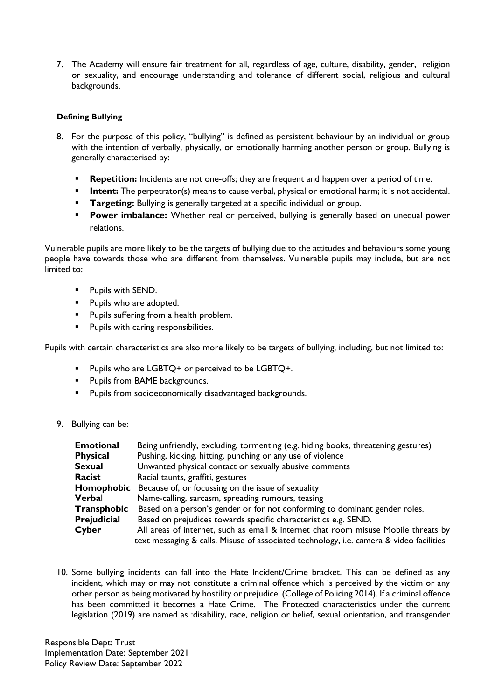7. The Academy will ensure fair treatment for all, regardless of age, culture, disability, gender, religion or sexuality, and encourage understanding and tolerance of different social, religious and cultural backgrounds.

#### **Defining Bullying**

- 8. For the purpose of this policy, "bullying" is defined as persistent behaviour by an individual or group with the intention of verbally, physically, or emotionally harming another person or group. Bullying is generally characterised by:
	- **Repetition:** Incidents are not one-offs; they are frequent and happen over a period of time.
	- **Intent:** The perpetrator(s) means to cause verbal, physical or emotional harm; it is not accidental.
	- **Targeting:** Bullying is generally targeted at a specific individual or group.
	- **Power imbalance:** Whether real or perceived, bullying is generally based on unequal power relations.

Vulnerable pupils are more likely to be the targets of bullying due to the attitudes and behaviours some young people have towards those who are different from themselves. Vulnerable pupils may include, but are not limited to:

- **Pupils with SEND.**
- **Pupils who are adopted.**
- **Pupils suffering from a health problem.**
- **Pupils with caring responsibilities.**

Pupils with certain characteristics are also more likely to be targets of bullying, including, but not limited to:

- **Pupils who are LGBTO+ or perceived to be LGBTO+.**
- **Pupils from BAME backgrounds.**
- **Pupils from socioeconomically disadvantaged backgrounds.**
- 9. Bullying can be:

| <b>Emotional</b> | Being unfriendly, excluding, tormenting (e.g. hiding books, threatening gestures)       |
|------------------|-----------------------------------------------------------------------------------------|
| <b>Physical</b>  | Pushing, kicking, hitting, punching or any use of violence                              |
| <b>Sexual</b>    | Unwanted physical contact or sexually abusive comments                                  |
| Racist           | Racial taunts, graffiti, gestures                                                       |
| Homophobic       | Because of, or focussing on the issue of sexuality                                      |
| Verbal           | Name-calling, sarcasm, spreading rumours, teasing                                       |
| Transphobic      | Based on a person's gender or for not conforming to dominant gender roles.              |
| Prejudicial      | Based on prejudices towards specific characteristics e.g. SEND.                         |
| Cyber            | All areas of internet, such as email & internet chat room misuse Mobile threats by      |
|                  | text messaging & calls. Misuse of associated technology, i.e. camera & video facilities |

10. Some bullying incidents can fall into the Hate Incident/Crime bracket. This can be defined as any incident, which may or may not constitute a criminal offence which is perceived by the victim or any other person as being motivated by hostility or prejudice. (College of Policing 2014). If a criminal offence has been committed it becomes a Hate Crime. The Protected characteristics under the current legislation (2019) are named as :disability, race, religion or belief, sexual orientation, and transgender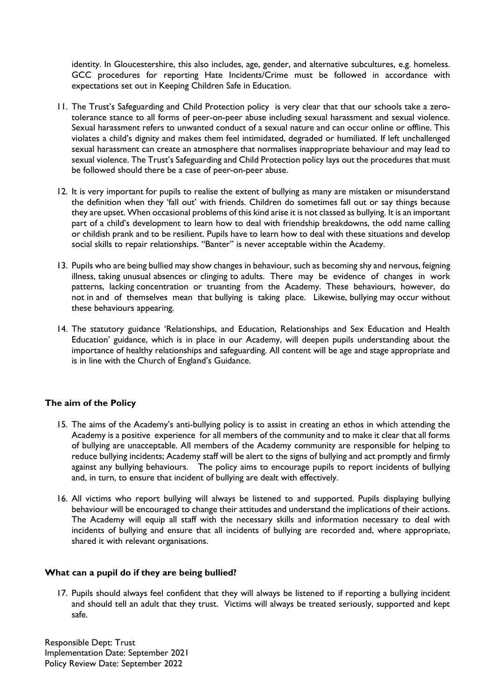identity. In Gloucestershire, this also includes, age, gender, and alternative subcultures, e.g. homeless. GCC procedures for reporting Hate Incidents/Crime must be followed in accordance with expectations set out in Keeping Children Safe in Education.

- 11. The Trust's Safeguarding and Child Protection policy is very clear that that our schools take a zerotolerance stance to all forms of peer-on-peer abuse including sexual harassment and sexual violence. Sexual harassment refers to unwanted conduct of a sexual nature and can occur online or offline. This violates a child's dignity and makes them feel intimidated, degraded or humiliated. If left unchallenged sexual harassment can create an atmosphere that normalises inappropriate behaviour and may lead to sexual violence. The Trust's Safeguarding and Child Protection policy lays out the procedures that must be followed should there be a case of peer-on-peer abuse.
- 12. It is very important for pupils to realise the extent of bullying as many are mistaken or misunderstand the definition when they 'fall out' with friends. Children do sometimes fall out or say things because they are upset. When occasional problems of this kind arise it is not classed as bullying. It is an important part of a child's development to learn how to deal with friendship breakdowns, the odd name calling or childish prank and to be resilient. Pupils have to learn how to deal with these situations and develop social skills to repair relationships. "Banter" is never acceptable within the Academy.
- 13. Pupils who are being bullied may show changes in behaviour, such as becoming shy and nervous, feigning illness, taking unusual absences or clinging to adults. There may be evidence of changes in work patterns, lacking concentration or truanting from the Academy. These behaviours, however, do not in and of themselves mean that bullying is taking place. Likewise, bullying may occur without these behaviours appearing.
- 14. The statutory guidance 'Relationships, and Education, Relationships and Sex Education and Health Education' guidance, which is in place in our Academy, will deepen pupils understanding about the importance of healthy relationships and safeguarding. All content will be age and stage appropriate and is in line with the Church of England's Guidance.

#### **The aim of the Policy**

- 15. The aims of the Academy's anti-bullying policy is to assist in creating an ethos in which attending the Academy is a positive experience for all members of the community and to make it clear that all forms of bullying are unacceptable. All members of the Academy community are responsible for helping to reduce bullying incidents; Academy staff will be alert to the signs of bullying and act promptly and firmly against any bullying behaviours. The policy aims to encourage pupils to report incidents of bullying and, in turn, to ensure that incident of bullying are dealt with effectively.
- 16. All victims who report bullying will always be listened to and supported. Pupils displaying bullying behaviour will be encouraged to change their attitudes and understand the implications of their actions. The Academy will equip all staff with the necessary skills and information necessary to deal with incidents of bullying and ensure that all incidents of bullying are recorded and, where appropriate, shared it with relevant organisations.

#### **What can a pupil do if they are being bullied?**

17. Pupils should always feel confident that they will always be listened to if reporting a bullying incident and should tell an adult that they trust. Victims will always be treated seriously, supported and kept safe.

Responsible Dept: Trust Implementation Date: September 2021 Policy Review Date: September 2022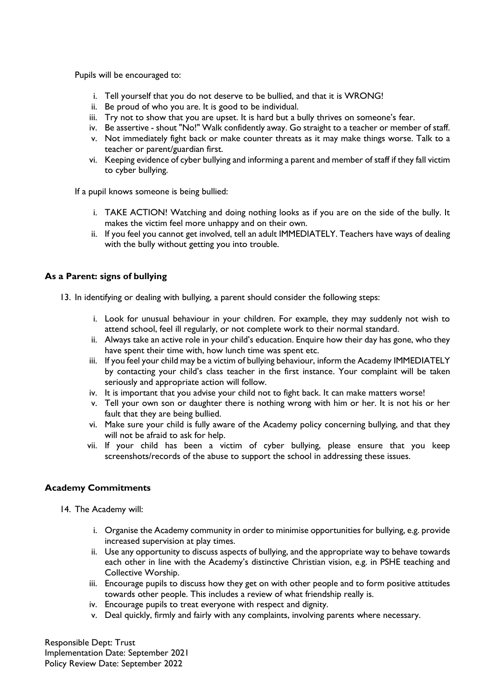Pupils will be encouraged to:

- i. Tell yourself that you do not deserve to be bullied, and that it is WRONG!
- ii. Be proud of who you are. It is good to be individual.
- iii. Try not to show that you are upset. It is hard but a bully thrives on someone's fear.
- iv. Be assertive shout "No!" Walk confidently away. Go straight to a teacher or member of staff.
- v. Not immediately fight back or make counter threats as it may make things worse. Talk to a teacher or parent/guardian first.
- vi. Keeping evidence of cyber bullying and informing a parent and member of staff if they fall victim to cyber bullying.

If a pupil knows someone is being bullied:

- i. TAKE ACTION! Watching and doing nothing looks as if you are on the side of the bully. It makes the victim feel more unhappy and on their own.
- ii. If you feel you cannot get involved, tell an adult IMMEDIATELY. Teachers have ways of dealing with the bully without getting you into trouble.

#### **As a Parent: signs of bullying**

- 13. In identifying or dealing with bullying, a parent should consider the following steps:
	- i. Look for unusual behaviour in your children. For example, they may suddenly not wish to attend school, feel ill regularly, or not complete work to their normal standard.
	- ii. Always take an active role in your child's education. Enquire how their day has gone, who they have spent their time with, how lunch time was spent etc.
	- iii. If you feel your child may be a victim of bullying behaviour, inform the Academy IMMEDIATELY by contacting your child's class teacher in the first instance. Your complaint will be taken seriously and appropriate action will follow.
	- iv. It is important that you advise your child not to fight back. It can make matters worse!
	- v. Tell your own son or daughter there is nothing wrong with him or her. It is not his or her fault that they are being bullied.
	- vi. Make sure your child is fully aware of the Academy policy concerning bullying, and that they will not be afraid to ask for help.
	- vii. If your child has been a victim of cyber bullying, please ensure that you keep screenshots/records of the abuse to support the school in addressing these issues.

#### **Academy Commitments**

- 14. The Academy will:
	- i. Organise the Academy community in order to minimise opportunities for bullying, e.g. provide increased supervision at play times.
	- ii. Use any opportunity to discuss aspects of bullying, and the appropriate way to behave towards each other in line with the Academy's distinctive Christian vision, e.g. in PSHE teaching and Collective Worship.
	- iii. Encourage pupils to discuss how they get on with other people and to form positive attitudes towards other people. This includes a review of what friendship really is.
	- iv. Encourage pupils to treat everyone with respect and dignity.
	- v. Deal quickly, firmly and fairly with any complaints, involving parents where necessary.

Responsible Dept: Trust Implementation Date: September 2021 Policy Review Date: September 2022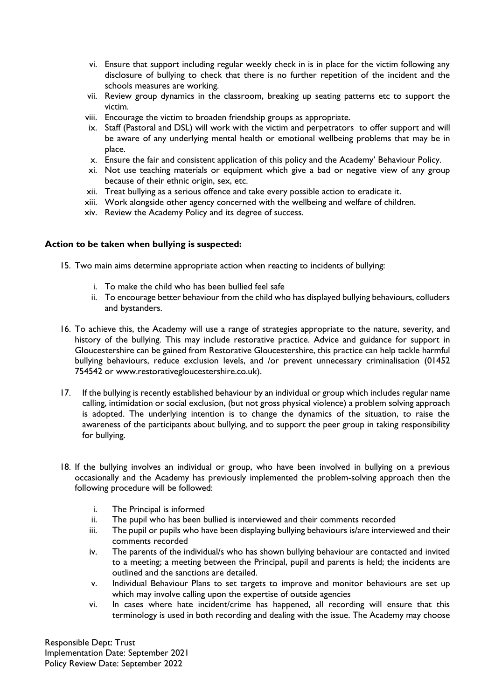- vi. Ensure that support including regular weekly check in is in place for the victim following any disclosure of bullying to check that there is no further repetition of the incident and the schools measures are working.
- vii. Review group dynamics in the classroom, breaking up seating patterns etc to support the victim.
- viii. Encourage the victim to broaden friendship groups as appropriate.
- ix. Staff (Pastoral and DSL) will work with the victim and perpetrators to offer support and will be aware of any underlying mental health or emotional wellbeing problems that may be in place.
- x. Ensure the fair and consistent application of this policy and the Academy' Behaviour Policy.
- xi. Not use teaching materials or equipment which give a bad or negative view of any group because of their ethnic origin, sex, etc.
- xii. Treat bullying as a serious offence and take every possible action to eradicate it.
- xiii. Work alongside other agency concerned with the wellbeing and welfare of children.
- xiv. Review the Academy Policy and its degree of success.

#### **Action to be taken when bullying is suspected:**

- 15. Two main aims determine appropriate action when reacting to incidents of bullying:
	- i. To make the child who has been bullied feel safe
	- ii. To encourage better behaviour from the child who has displayed bullying behaviours, colluders and bystanders.
- 16. To achieve this, the Academy will use a range of strategies appropriate to the nature, severity, and history of the bullying. This may include restorative practice. Advice and guidance for support in Gloucestershire can be gained from Restorative Gloucestershire, this practice can help tackle harmful bullying behaviours, reduce exclusion levels, and /or prevent unnecessary criminalisation (01452 754542 or www.restorativegloucestershire.co.uk).
- 17. If the bullying is recently established behaviour by an individual or group which includes regular name calling, intimidation or social exclusion, (but not gross physical violence) a problem solving approach is adopted. The underlying intention is to change the dynamics of the situation, to raise the awareness of the participants about bullying, and to support the peer group in taking responsibility for bullying.
- 18. If the bullying involves an individual or group, who have been involved in bullying on a previous occasionally and the Academy has previously implemented the problem-solving approach then the following procedure will be followed:
	- i. The Principal is informed
	- ii. The pupil who has been bullied is interviewed and their comments recorded
	- iii. The pupil or pupils who have been displaying bullying behaviours is/are interviewed and their comments recorded
	- iv. The parents of the individual/s who has shown bullying behaviour are contacted and invited to a meeting; a meeting between the Principal, pupil and parents is held; the incidents are outlined and the sanctions are detailed.
	- v. Individual Behaviour Plans to set targets to improve and monitor behaviours are set up which may involve calling upon the expertise of outside agencies
	- vi. In cases where hate incident/crime has happened, all recording will ensure that this terminology is used in both recording and dealing with the issue. The Academy may choose

Responsible Dept: Trust Implementation Date: September 2021 Policy Review Date: September 2022